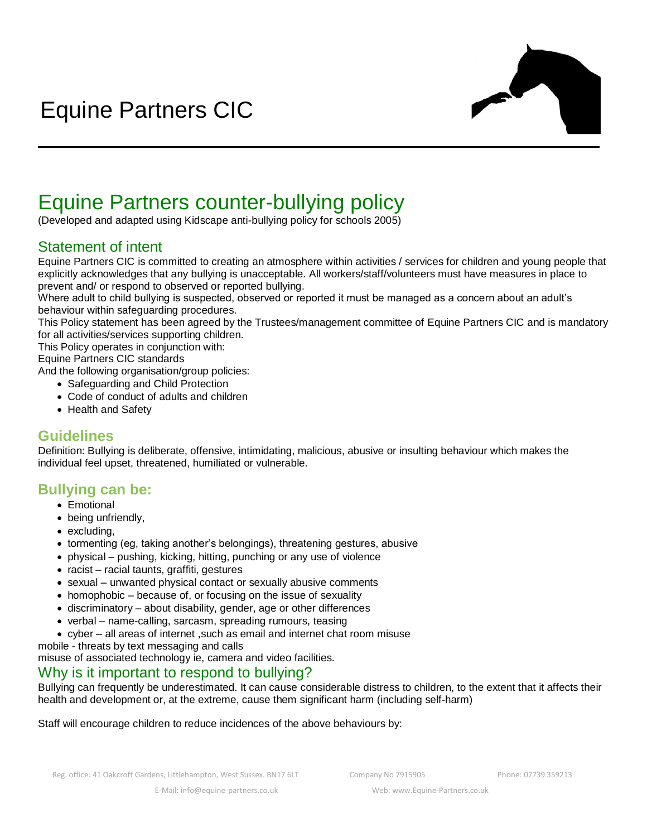

# Equine Partners counter-bullying policy

(Developed and adapted using Kidscape anti-bullying policy for schools 2005)

## Statement of intent

Equine Partners CIC is committed to creating an atmosphere within activities / services for children and young people that explicitly acknowledges that any bullying is unacceptable. All workers/staff/volunteers must have measures in place to prevent and/ or respond to observed or reported bullying.

Where adult to child bullying is suspected, observed or reported it must be managed as a concern about an adult's behaviour within safeguarding procedures.

This Policy statement has been agreed by the Trustees/management committee of Equine Partners CIC and is mandatory for all activities/services supporting children.

This Policy operates in conjunction with:

Equine Partners CIC standards

And the following organisation/group policies:

- Safeguarding and Child Protection
- Code of conduct of adults and children
- Health and Safety

### **Guidelines**

Definition: Bullying is deliberate, offensive, intimidating, malicious, abusive or insulting behaviour which makes the individual feel upset, threatened, humiliated or vulnerable.

### **Bullying can be:**

- Emotional
- being unfriendly,
- excluding,
- tormenting (eg, taking another's belongings), threatening gestures, abusive
- physical pushing, kicking, hitting, punching or any use of violence
- racist racial taunts, graffiti, gestures
- sexual unwanted physical contact or sexually abusive comments
- homophobic because of, or focusing on the issue of sexuality
- discriminatory about disability, gender, age or other differences
- verbal name-calling, sarcasm, spreading rumours, teasing
- cyber all areas of internet ,such as email and internet chat room misuse

mobile - threats by text messaging and calls

misuse of associated technology ie, camera and video facilities.

### Why is it important to respond to bullying?

Bullying can frequently be underestimated. It can cause considerable distress to children, to the extent that it affects their health and development or, at the extreme, cause them significant harm (including self-harm)

Staff will encourage children to reduce incidences of the above behaviours by: